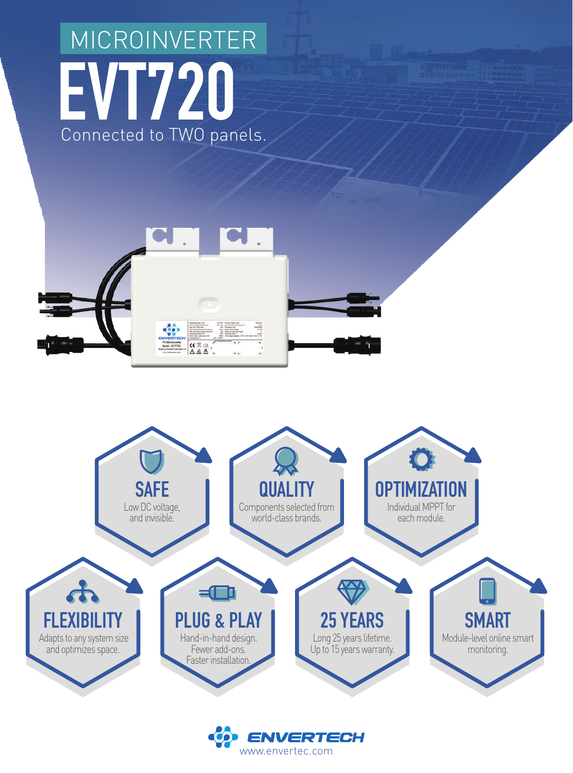## **EVT720**  Connected to TWO panels. MICROINVERTER